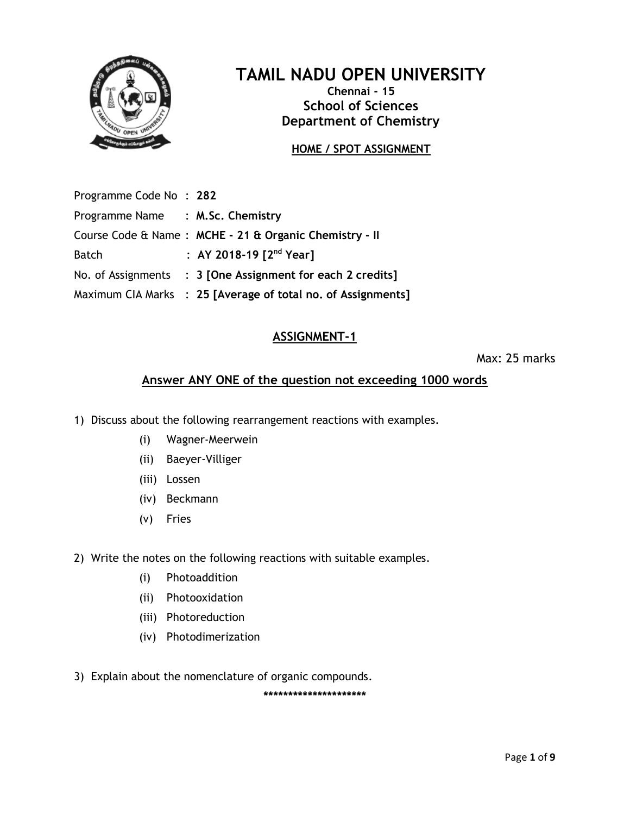

# **TAMIL NADU OPEN UNIVERSITY**

**Chennai - 15 School of Sciences Department of Chemistry**

# **HOME / SPOT ASSIGNMENT**

| Programme Code No: 282           |                                                              |
|----------------------------------|--------------------------------------------------------------|
| Programme Name : M.Sc. Chemistry |                                                              |
|                                  | Course Code & Name: MCHE - 21 & Organic Chemistry - II       |
| <b>Batch</b>                     | : AY 2018-19 $[2^{nd}$ Year]                                 |
|                                  | No. of Assignments : 3 [One Assignment for each 2 credits]   |
|                                  | Maximum CIA Marks : 25 [Average of total no. of Assignments] |
|                                  |                                                              |

#### **ASSIGNMENT-1**

Max: 25 marks

# **Answer ANY ONE of the question not exceeding 1000 words**

- 1) Discuss about the following rearrangement reactions with examples.
	- (i) Wagner-Meerwein
	- (ii) Baeyer-Villiger
	- (iii) Lossen
	- (iv) Beckmann
	- (v) Fries
- 2) Write the notes on the following reactions with suitable examples.
	- (i) Photoaddition
	- (ii) Photooxidation
	- (iii) Photoreduction
	- (iv) Photodimerization
- 3) Explain about the nomenclature of organic compounds.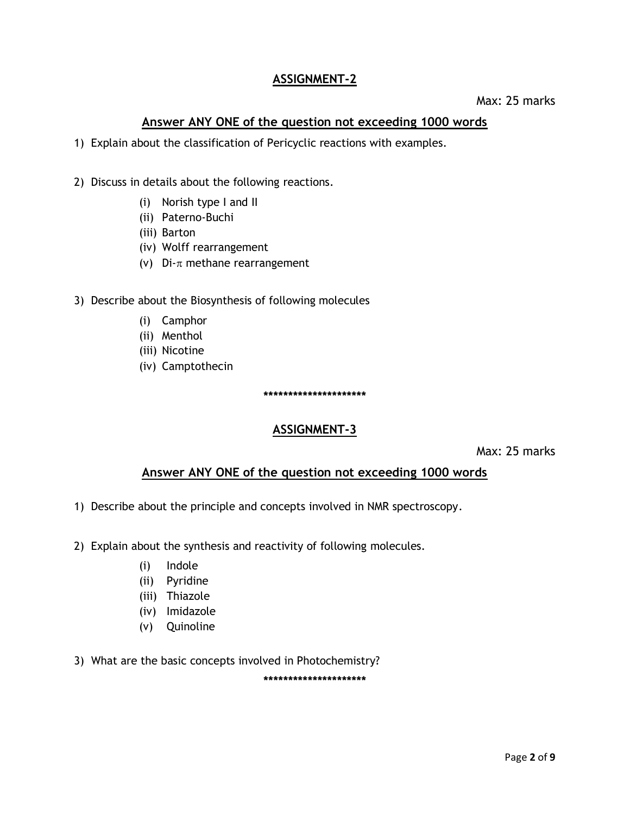# **ASSIGNMENT-2**

#### **Answer ANY ONE of the question not exceeding 1000 words**

- 1) Explain about the classification of Pericyclic reactions with examples.
- 2) Discuss in details about the following reactions.
	- (i) Norish type I and II
	- (ii) Paterno-Buchi
	- (iii) Barton
	- (iv) Wolff rearrangement
	- (v) Di- $\pi$  methane rearrangement
- 3) Describe about the Biosynthesis of following molecules
	- (i) Camphor
	- (ii) Menthol
	- (iii) Nicotine
	- (iv) Camptothecin

**\*\*\*\*\*\*\*\*\*\*\*\*\*\*\*\*\*\*\*\*\***

#### **ASSIGNMENT-3**

Max: 25 marks

#### **Answer ANY ONE of the question not exceeding 1000 words**

- 1) Describe about the principle and concepts involved in NMR spectroscopy.
- 2) Explain about the synthesis and reactivity of following molecules.
	- (i) Indole
	- (ii) Pyridine
	- (iii) Thiazole
	- (iv) Imidazole
	- (v) Quinoline
- 3) What are the basic concepts involved in Photochemistry?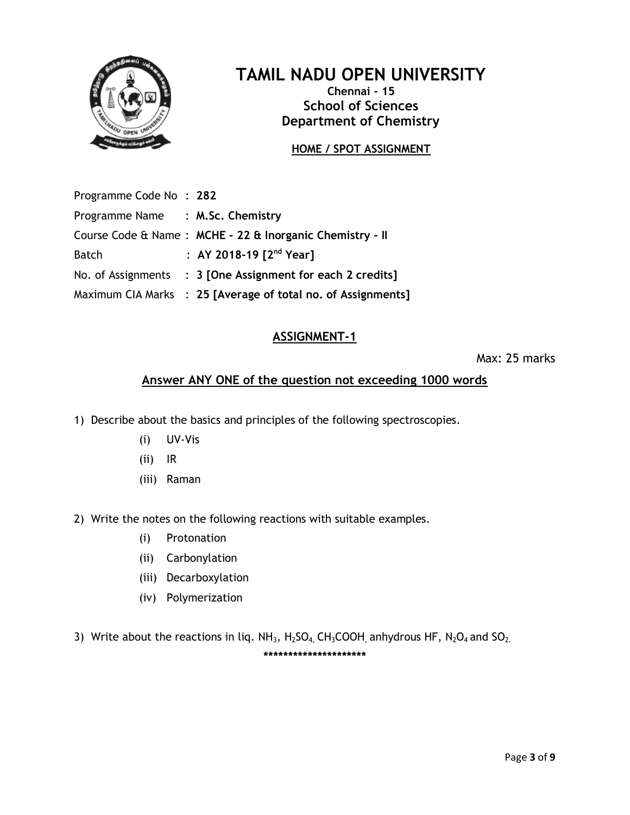

# **TAMIL NADU OPEN UNIVERSITY**

**Chennai - 15 School of Sciences Department of Chemistry**

# **HOME / SPOT ASSIGNMENT**

| Programme Code No: 282           |                                                              |
|----------------------------------|--------------------------------------------------------------|
| Programme Name : M.Sc. Chemistry |                                                              |
|                                  | Course Code & Name: MCHE - 22 & Inorganic Chemistry - II     |
| <b>Batch</b>                     | : AY 2018-19 $[2^{nd}$ Year]                                 |
|                                  | No. of Assignments : 3 [One Assignment for each 2 credits]   |
|                                  | Maximum CIA Marks : 25 [Average of total no. of Assignments] |
|                                  |                                                              |

# **ASSIGNMENT-1**

Max: 25 marks

# **Answer ANY ONE of the question not exceeding 1000 words**

- 1) Describe about the basics and principles of the following spectroscopies.
	- (i) UV-Vis
	- (ii) IR
	- (iii) Raman
- 2) Write the notes on the following reactions with suitable examples.
	- (i) Protonation
	- (ii) Carbonylation
	- (iii) Decarboxylation
	- (iv) Polymerization
- 3) Write about the reactions in liq.  $NH_3$ ,  $H_2SO_4$ ,  $CH_3COOH$ , anhydrous HF,  $N_2O_4$  and  $SO_2$ . **\*\*\*\*\*\*\*\*\*\*\*\*\*\*\*\*\*\*\*\*\***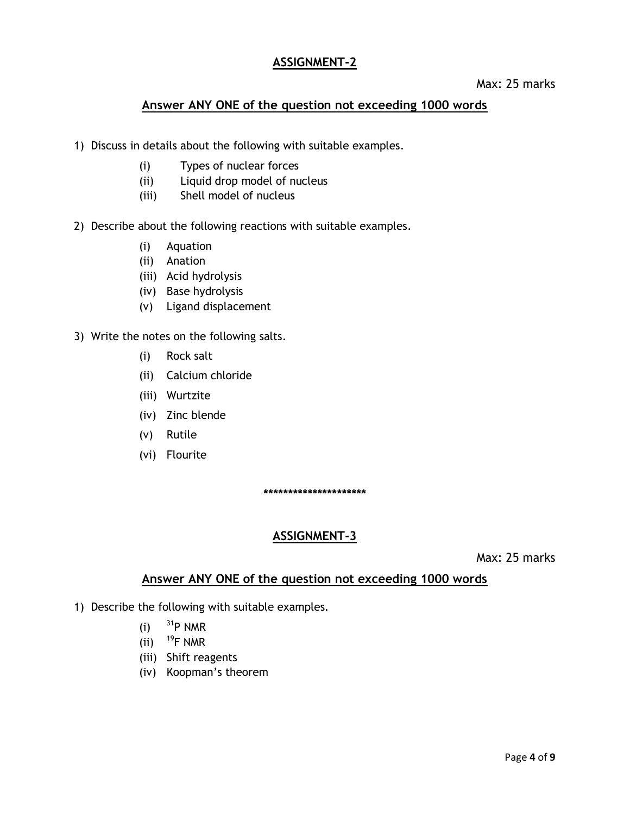#### **ASSIGNMENT-2**

#### Max: 25 marks

## **Answer ANY ONE of the question not exceeding 1000 words**

- 1) Discuss in details about the following with suitable examples.
	- (i) Types of nuclear forces
	- (ii) Liquid drop model of nucleus
	- (iii) Shell model of nucleus
- 2) Describe about the following reactions with suitable examples.
	- (i) Aquation
	- (ii) Anation
	- (iii) Acid hydrolysis
	- (iv) Base hydrolysis
	- (v) Ligand displacement
- 3) Write the notes on the following salts.
	- (i) Rock salt
	- (ii) Calcium chloride
	- (iii) Wurtzite
	- (iv) Zinc blende
	- (v) Rutile
	- (vi) Flourite

**\*\*\*\*\*\*\*\*\*\*\*\*\*\*\*\*\*\*\*\*\***

#### **ASSIGNMENT-3**

Max: 25 marks

#### **Answer ANY ONE of the question not exceeding 1000 words**

- 1) Describe the following with suitable examples.
	- (i)  $^{31}P$  NMR
	- (ii)  $^{19}$ F NMR
	- (iii) Shift reagents
	- (iv) Koopman's theorem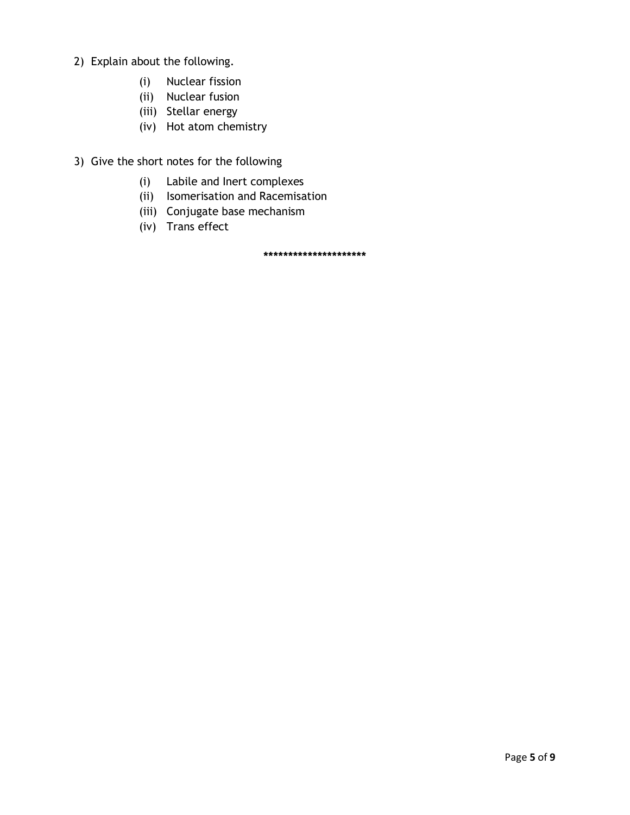- 2) Explain about the following.
	- (i) Nuclear fission
	- (ii) Nuclear fusion
	- (iii) Stellar energy
	- (iv) Hot atom chemistry
- 3) Give the short notes for the following
	- (i) Labile and Inert complexes
	- (ii) Isomerisation and Racemisation
	- (iii) Conjugate base mechanism
	- (iv) Trans effect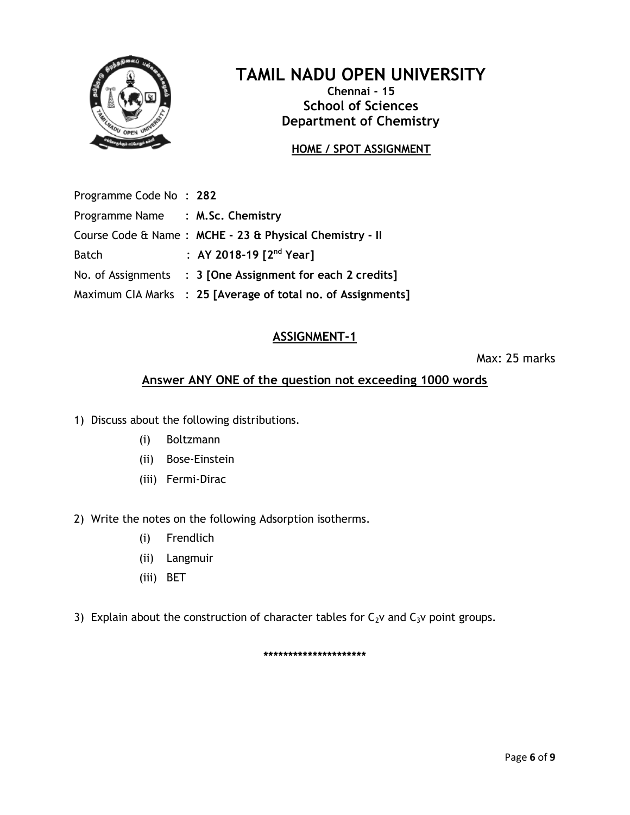

# **TAMIL NADU OPEN UNIVERSITY**

**Chennai - 15 School of Sciences Department of Chemistry**

# **HOME / SPOT ASSIGNMENT**

| Programme Code No: 282           |                                                              |
|----------------------------------|--------------------------------------------------------------|
| Programme Name : M.Sc. Chemistry |                                                              |
|                                  | Course Code & Name: MCHE - 23 & Physical Chemistry - II      |
| <b>Batch</b>                     | : AY 2018-19 $[2^{nd}$ Year]                                 |
|                                  | No. of Assignments : 3 [One Assignment for each 2 credits]   |
|                                  | Maximum CIA Marks : 25 [Average of total no. of Assignments] |
|                                  |                                                              |

#### **ASSIGNMENT-1**

Max: 25 marks

# **Answer ANY ONE of the question not exceeding 1000 words**

- 1) Discuss about the following distributions.
	- (i) Boltzmann
	- (ii) Bose-Einstein
	- (iii) Fermi-Dirac
- 2) Write the notes on the following Adsorption isotherms.
	- (i) Frendlich
	- (ii) Langmuir
	- (iii) BET
- 3) Explain about the construction of character tables for  $C_2v$  and  $C_3v$  point groups.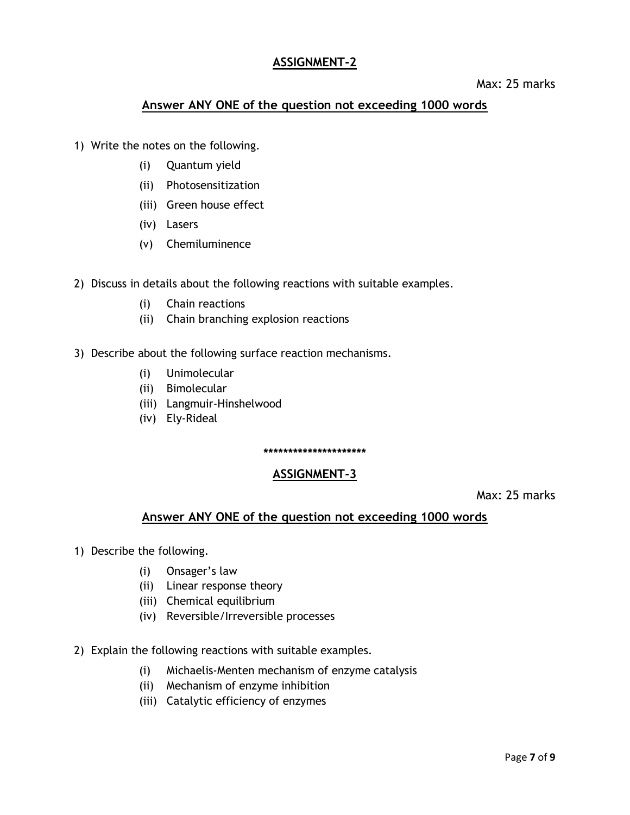#### **ASSIGNMENT-2**

Max: 25 marks

#### **Answer ANY ONE of the question not exceeding 1000 words**

- 1) Write the notes on the following.
	- (i) Quantum yield
	- (ii) Photosensitization
	- (iii) Green house effect
	- (iv) Lasers
	- (v) Chemiluminence
- 2) Discuss in details about the following reactions with suitable examples.
	- (i) Chain reactions
	- (ii) Chain branching explosion reactions
- 3) Describe about the following surface reaction mechanisms.
	- (i) Unimolecular
	- (ii) Bimolecular
	- (iii) Langmuir-Hinshelwood
	- (iv) Ely-Rideal

#### **\*\*\*\*\*\*\*\*\*\*\*\*\*\*\*\*\*\*\*\*\***

#### **ASSIGNMENT-3**

Max: 25 marks

#### **Answer ANY ONE of the question not exceeding 1000 words**

- 1) Describe the following.
	- (i) Onsager's law
	- (ii) Linear response theory
	- (iii) Chemical equilibrium
	- (iv) Reversible/Irreversible processes
- 2) Explain the following reactions with suitable examples.
	- (i) Michaelis-Menten mechanism of enzyme catalysis
	- (ii) Mechanism of enzyme inhibition
	- (iii) Catalytic efficiency of enzymes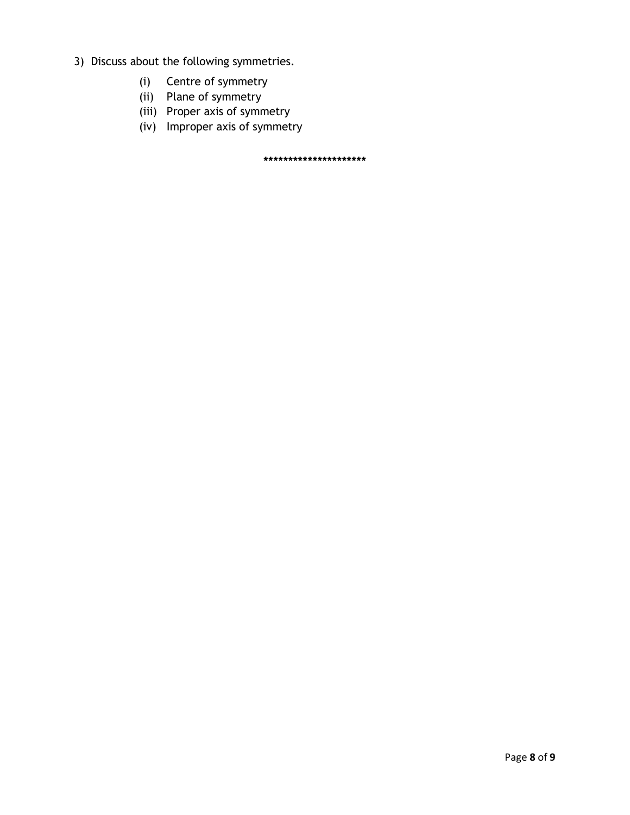- 3) Discuss about the following symmetries.
	- (i) Centre of symmetry
	- (ii) Plane of symmetry
	- (iii) Proper axis of symmetry
	- (iv) Improper axis of symmetry